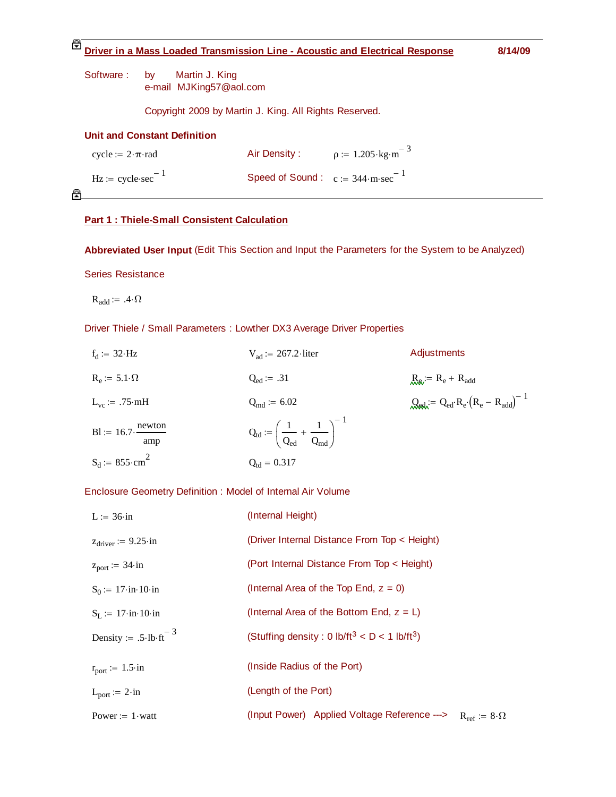**Driver in a Mass Loaded Transmission Line - Acoustic and Electrical Response** 8/14/09

| Software : | by | Martin J. King          |
|------------|----|-------------------------|
|            |    | e-mail MJKing57@aol.com |

Copyright 2009 by Martin J. King. All Rights Reserved.

| Unit and Constant Definition     |                                                   |                                                  |
|----------------------------------|---------------------------------------------------|--------------------------------------------------|
| $cycle := 2 \cdot \pi \cdot rad$ | Air Density:                                      | $p := 1.205 \cdot \text{kg} \cdot \text{m}^{-3}$ |
| $Hz = cycle \sec^{-1}$           | Speed of Sound: $c := 344 \cdot m \cdot sec^{-1}$ |                                                  |

ති—

#### **Part 1 : Thiele-Small Consistent Calculation**

**Abbreviated User Input** (Edit This Section and Input the Parameters for the System to be Analyzed)

Series Resistance

 $R_{add} := .4 \cdot \Omega$ 

Driver Thiele / Small Parameters : Lowther DX3 Average Driver Properties

| $f_d := 32 \cdot Hz$                       | $V_{ad}$ = 267.2 liter                                                                 | Adjustments                                                                                   |
|--------------------------------------------|----------------------------------------------------------------------------------------|-----------------------------------------------------------------------------------------------|
| $R_e = 5.1 \cdot \Omega$                   | $Q_{\rm ad} = .31$                                                                     | $R_{\rm ad} = R_{\rm e} + R_{\rm add}$                                                        |
| $L_{vc}$ := .75 $\cdot$ mH                 | $Q_{\text{md}} \coloneqq 6.02$                                                         | $Q_{\text{ed}} = Q_{\text{ed}} \cdot R_{\text{e}} \cdot (R_{\text{e}} - R_{\text{add}})^{-1}$ |
| $Bl := 16.7 \cdot \frac{newton}{1}$<br>amp | $Q_{\text{td}} := \left(\frac{1}{Q_{\text{ed}}} + \frac{1}{Q_{\text{md}}}\right)^{-1}$ |                                                                                               |
| $S_d := 855 \cdot cm^2$                    | $Q_{\rm td} = 0.317$                                                                   |                                                                                               |

#### Enclosure Geometry Definition : Model of Internal Air Volume

| $L := 36 \cdot in$                                   | (Internal Height)                                                           |
|------------------------------------------------------|-----------------------------------------------------------------------------|
| $z_{\text{driver}} := 9.25 \cdot in$                 | (Driver Internal Distance From Top < Height)                                |
| $z_{port} := 34 \cdot in$                            | (Port Internal Distance From Top < Height)                                  |
| $S_0 := 17 \cdot \text{in} \cdot 10 \cdot \text{in}$ | (Internal Area of the Top End, $z = 0$ )                                    |
| $S_L := 17 \cdot in \cdot 10 \cdot in$               | (Internal Area of the Bottom End, $z = L$ )                                 |
| Density := $.5 \cdot lb \cdot ft^{-3}$               | (Stuffing density: $0 \text{ lb/ft}^3 < D < 1 \text{ lb/ft}^3$ )            |
| $r_{port} := 1.5 \cdot in$                           | (Inside Radius of the Port)                                                 |
| $L_{port} := 2 \cdot in$                             | (Length of the Port)                                                        |
| Power := $1$ watt                                    | (Input Power) Applied Voltage Reference ---><br>$R_{ref} := 8 \cdot \Omega$ |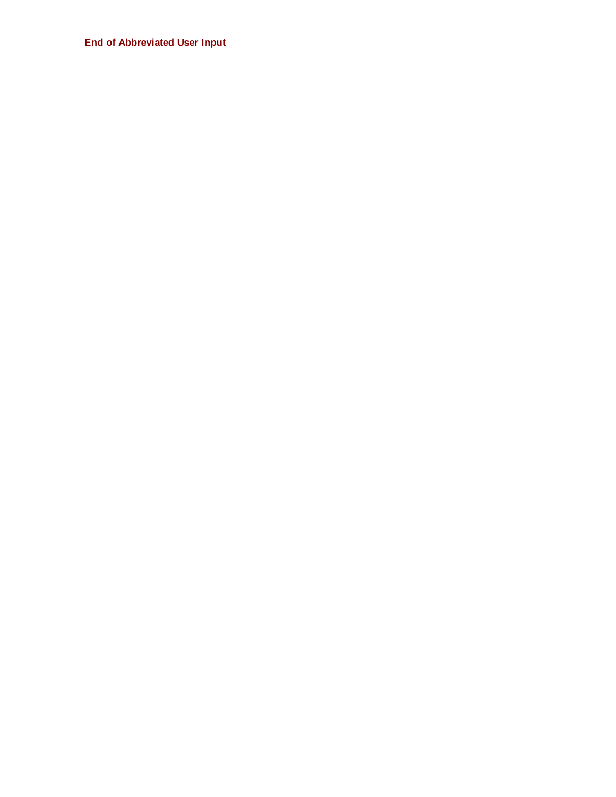**End of Abbreviated User Input**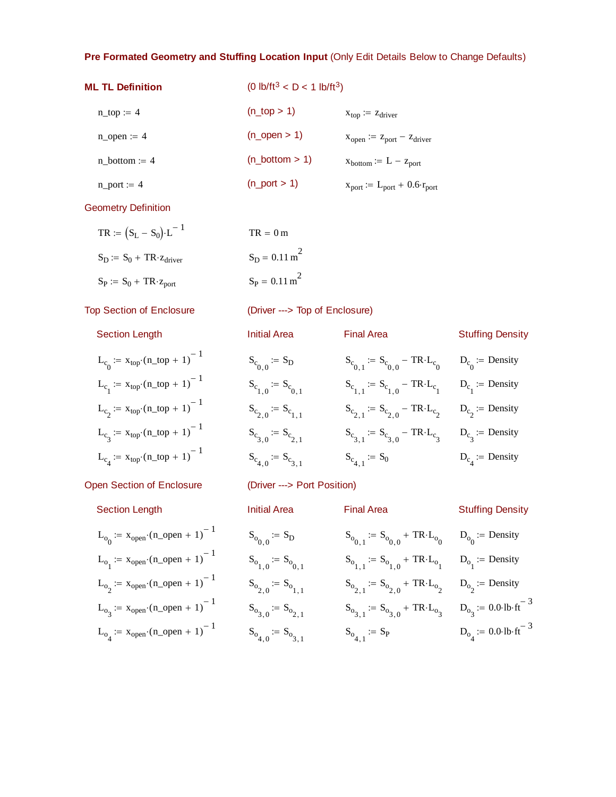#### Pre Formated Geometry and Stuffing Location Input (Only Edit Details Below to Change Defaults)

| <b>ML TL Definition</b> | $(0 \text{ lb/ft}^3 < D < 1 \text{ lb/ft}^3)$ |                                                                  |  |
|-------------------------|-----------------------------------------------|------------------------------------------------------------------|--|
| $n_{top} := 4$          | $(n \text{ top} > 1)$                         | $X_{\text{top}} := Z_{\text{driver}}$                            |  |
| $n$ open := 4           | $(n_{open} > 1)$                              | $X_{open} := Z_{port} - Z_{driver}$                              |  |
| $n \text{ bottom} := 4$ | $(n_{\text{bottom}} > 1)$                     | $x_{bottom} := L - z_{port}$                                     |  |
| n port := $4$           | $(n_{\text{port}} > 1)$                       | $x_{\text{port}} := L_{\text{port}} + 0.6 \cdot r_{\text{port}}$ |  |

#### Geometry Definition

| $TR := (S_{L} - S_{0}) \cdot L^{-1}$      | $TR = 0m$                |
|-------------------------------------------|--------------------------|
| $S_D := S_0 + TR \cdot z_{\text{driver}}$ | $S_D = 0.11 \text{ m}^2$ |
| $S_P := S_0 + TR \cdot z_{port}$          | $S_P = 0.11 \text{ m}^2$ |

Section Length **Initial Area** Final Area Final Area Stuffing Density

$$
L_{c_0} := x_{top} (n_{top} + 1)^{-1}
$$
  
\n
$$
L_{c_1} := x_{top} (n_{top} + 1)^{-1}
$$
  
\n
$$
L_{c_2} := x_{top} (n_{top} + 1)^{-1}
$$
  
\n
$$
L_{c_3} := x_{top} (n_{top} + 1)^{-1}
$$
  
\n
$$
L_{c_4} := x_{top} (n_{top} + 1)^{-1}
$$
  
\n
$$
S_c
$$
  
\n
$$
L_{c_4} := x_{top} (n_{top} + 1)^{-1}
$$
  
\n
$$
S_c
$$

#### Open Section of Enclosure (Driver ---> Port Position)

### Top Section of Enclosure (Driver ---> Top of Enclosure)

# $S_{c_{0.0}} := S_D$  $D_{c_0}$  :=  $S_{c_0,0}$  - TR·L<sub>c</sub> D<sub>c<sub>0</sub></sub> := Density  $S_{c_{1,1}} = S_{c_{1,0}} - \text{TR-L}_{c_{1,0}} - D_{c_{1}} = \text{Density}$  $S_{c_{2,1}} := S_{c_{2,0}} - \text{TR-L}_{c_2} \qquad D_{c_2} := \text{Density}$  $S_{c}$  :=  $S_{c_{2,1}}$   $S_{c}$  $B_{c_{3,0}} = S_{c_{3,0}} - TR \cdot L_{c_{3}}$   $D_{c_{3}} :=$  Density  $S_{c_{4,1}} := S_{c_{3,1}}$   $S_{c_{4,1}} := S_0$   $D_c$  $\frac{1}{4}$  := Density

| <b>Section Length</b>                      | Initial Area                 | <b>Final Area</b>                                                                     | <b>Stuffing Density</b> |
|--------------------------------------------|------------------------------|---------------------------------------------------------------------------------------|-------------------------|
| $L_{o_0}$ = $x_{open} (n\_open + 1)^{-1}$  | $S_{o_{0.0}} := S_D$         | $S_{o_{0,1}} := S_{o_{0,0}} + TR \cdot L_{o_{0}}$ $D_{o_{0}} :=$ Density              |                         |
| $L_{o_1}$ := $x_{open} (n\_open + 1)^{-1}$ | $S_{o_{1,0}} := S_{o_{0,1}}$ | $S_{o_{1,1}} := S_{o_{1,0}} + TR \cdot L_{o_1}$ $D_{o_1} :=$ Density                  |                         |
| $L_{o_2}$ := $x_{open} (n\_open + 1)^{-1}$ | $S_{o_{2,0}} := S_{o_{1,1}}$ | $S_{o_{2,1}} = S_{o_{2,0}} + TR \cdot L_{o_2}$ $D_{o_2} =$ Density                    |                         |
| $L_{o_3}$ := $x_{open} (n\_open + 1)^{-1}$ | $S_{o_{3,0}} := S_{o_{2,1}}$ | $S_{o_{3,1}} := S_{o_{3,0}} + TR \cdot L_{o_3}$ $D_{o_3} := 0.0$ ·lb·ft <sup>-3</sup> |                         |
| $L_{o_4}$ := $x_{open} (n\_open + 1)^{-1}$ | $S_{o_{4,0}} := S_{o_{3,1}}$ | $S_{o_{4,1}} := S_P$ $D_{o_4} := 0.0 \text{ lb·ft}^{-3}$                              |                         |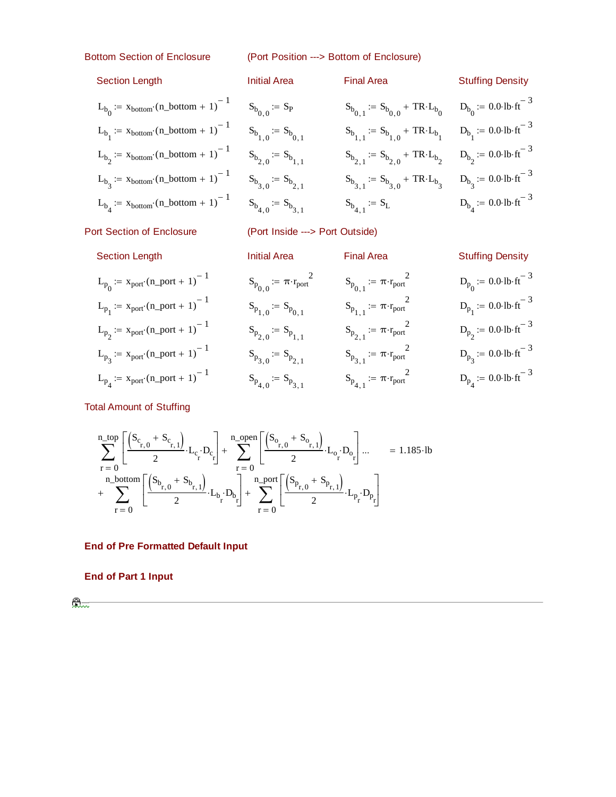Section Length

Bottom Section of Enclosure (Port Position ---> Bottom of Enclosure)

Section Length  
\n
$$
L_{b_0} := x_{bottom} \cdot (n_{bottom} + 1)^{-1}
$$
  
\n $L_{b_1} := x_{bottom} \cdot (n_{bottom} + 1)^{-1}$   
\n $L_{b_2} := x_{bottom} \cdot (n_{bottom} + 1)^{-1}$   
\n $L_{b_3} := x_{bottom} \cdot (n_{bottom} + 1)^{-1}$   
\n $L_{b_4} := x_{bottom} \cdot (n_{bottom} + 1)^{-1}$   
\n $L_{b_5} := x_{bottom} \cdot (n_{bottom} + 1)^{-1}$   
\n $L_{b_6} := x_{bottom} \cdot (n_{bottom} + 1)^{-1}$   
\n $L_{b_7} := x_{bottom} \cdot (n_{bottom} + 1)^{-1}$   
\n $L_{b_8} := x_{bottom} \cdot (n_{bottom} + 1)^{-1}$   
\n $L_{b_9} := x_{bottom} \cdot (n_{bottom} + 1)^{-1}$   
\n $L_{b_1} := x_{b_1, 0} + \text{TR} \cdot L_{b_2}$   
\n $L_{b_1} := x_{b_1, 0} + \text{TR} \cdot L_{b_1}$   
\n $L_{b_2} := x_{bottom} \cdot (n_{bottom} + 1)^{-1}$   
\n $L_{b_3} := x_{b_1, 0} + \text{TR} \cdot L_{b_2}$   
\n $L_{b_4} := x_{bottom} \cdot (n_{bottom} + 1)^{-1}$   
\n $L_{b_5} := x_{b_6, 0} + \text{TR} \cdot L_{b_7}$   
\n $L_{b_6} := x_{b_7, 0} + \text{TR} \cdot L_{b_8}$   
\n $L_{b_7} := x_{b_7, 0} + \text{TR} \cdot L_{b_7}$   
\n $L_{b_8} := x_{b_8, 0} + \text{TR} \cdot L_{b_8}$   
\n $L_{b_9} := x_{b_9, 0} + \text{TR} \cdot L_{b_1}$   
\n $L_{b_1} := x_{b_1, 0} + \text{TR} \cdot L_{b_1}$   
\n $L_{b_2} := x_{b_1, 0} + \text{TR} \cdot L_{b_1}$   
\n $L_{b_$ 

### Port Section of Enclosure (Port Inside ---> Port Outside)

| <b>Section Length</b>                       | <b>Initial Area</b>                          | <b>Final Area</b>                     | <b>Stuffing Density</b>              |
|---------------------------------------------|----------------------------------------------|---------------------------------------|--------------------------------------|
| $L_{p_0}$ := $x_{port} (n_{port} + 1)^{-1}$ | $S_{p_{0,0}} \coloneqq \pi \cdot r_{port}^2$ | $S_{p_{0,1}} := \pi \cdot r_{port}^2$ | $D_{p_0}$ = 0.0.1b.ft <sup>-3</sup>  |
| $L_{p_1}$ := $x_{port} (n_{port} + 1)^{-1}$ | $S_{p_{1,0}} := S_{p_{0,1}}$                 | $S_{p_{1,1}} := \pi \cdot r_{port}^2$ | $D_{p_1}$ := 0.0.1b.ft <sup>-3</sup> |
| $L_{p_2}$ := $x_{port} (n_{port} + 1)^{-1}$ | $S_{p_{2,0}}:=S_{p_{1,1}}$                   | $S_{p_{2,1}} := \pi \cdot r_{port}^2$ | $D_{p_2}$ := 0.0.1b.ft <sup>-3</sup> |
| $L_{p_3}$ := $x_{port} (n_{port} + 1)^{-1}$ | $S_{p_{3,0}} := S_{p_{2,1}}$                 | $S_{p_{3,1}} := \pi \cdot r_{port}^2$ | $D_{p_3}$ := 0.0.1b.ft <sup>-3</sup> |
| $L_{p_4}$ := $x_{port} (n_{port} + 1)^{-1}$ | $S_{p_{4,0}} := S_{p_{3,1}}$                 | $S_{p_{4,1}} := \pi \cdot r_{port}^2$ | $D_{p_4}$ := 0.0.1b.ft <sup>-3</sup> |

#### Total Amount of Stuffing

$$
\sum_{r=0}^{n\_{top}} \left[ \frac{\left(S_{c_{r,0}} + S_{c_{r,1}}\right)}{2} \cdot L_{c_{r}} \cdot D_{c_{r}} \right] + \sum_{r=0}^{n\_{open}} \left[ \frac{\left(S_{o_{r,0}} + S_{o_{r,1}}\right)}{2} \cdot L_{o_{r}} \cdot D_{o_{r}} \right] \dots \quad = 1.185 \cdot lb
$$
\n
$$
+ \sum_{r=0}^{n\_{bottom}} \left[ \frac{\left(S_{b_{r,0}} + S_{b_{r,1}}\right)}{2} \cdot L_{b_{r}} \cdot D_{b_{r}} \right] + \sum_{r=0}^{n\_{port}} \left[ \frac{\left(S_{p_{r,0}} + S_{p_{r,1}}\right)}{2} \cdot L_{p_{r}} \cdot D_{p_{r}} \right]
$$

#### **End of Pre Formatted Default Input**

## **End of Part 1 Input**

 $\bigoplus_{i\in\mathbb{N}}$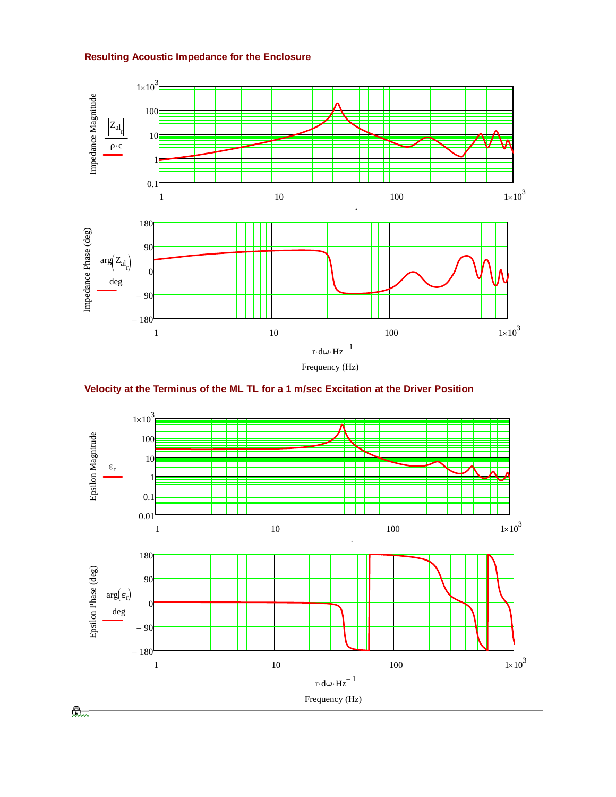#### **Resulting Acoustic Impedance for the Enclosure**





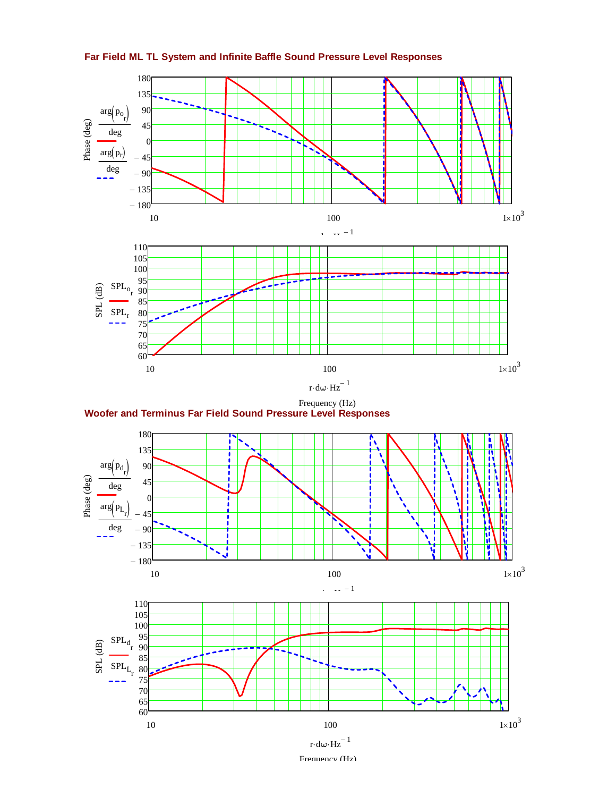

**Far Field ML TL System and Infinite Baffle Sound Pressure Level Responses**



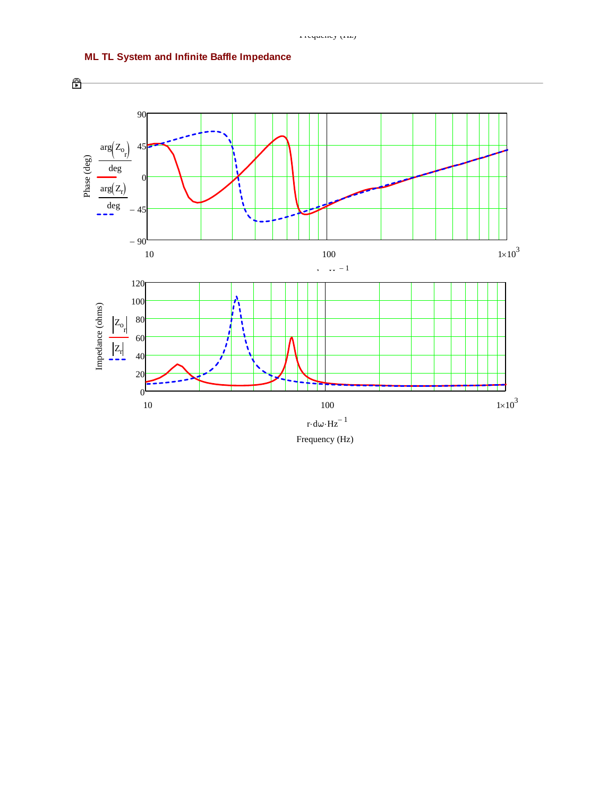

## **ML TL System and Infinite Baffle Impedance**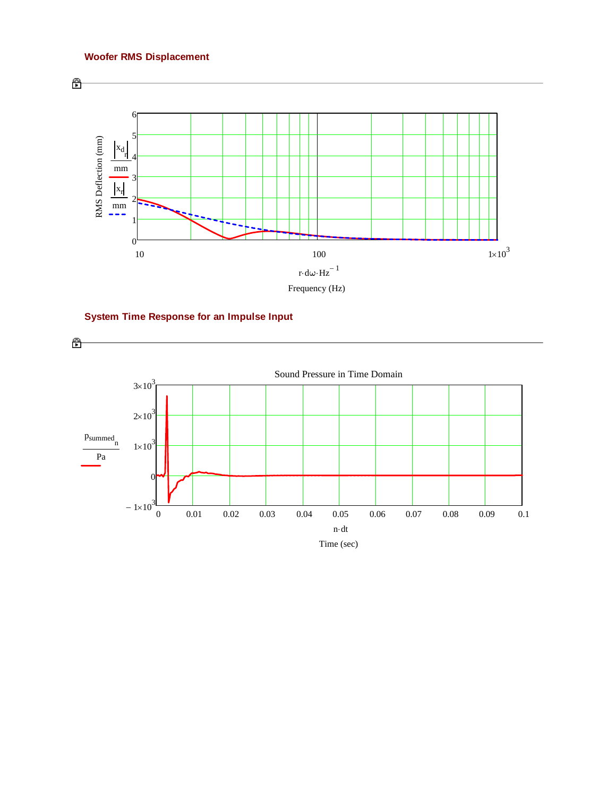## **Woofer RMS Displacement**





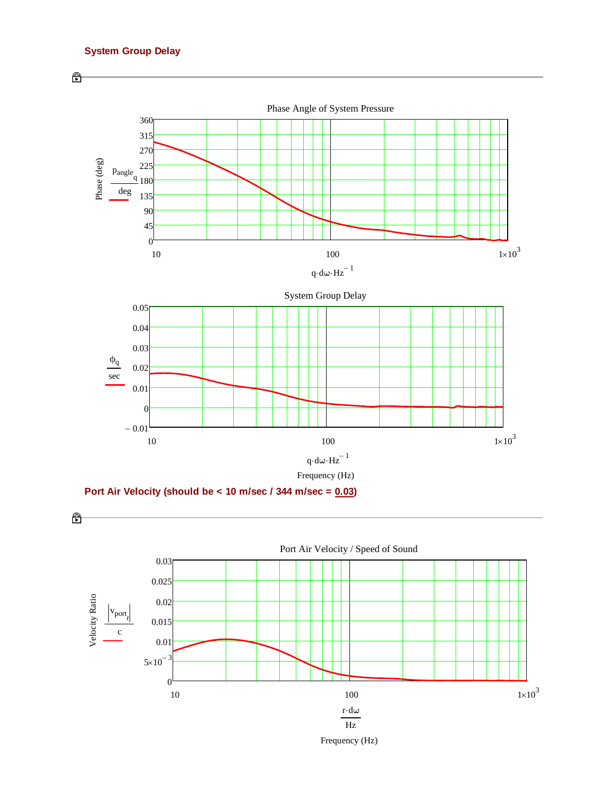

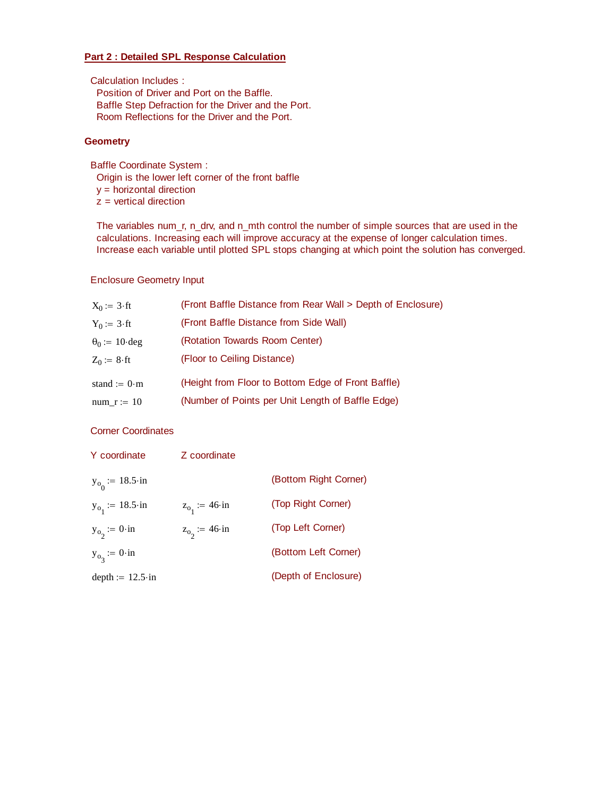#### **Part 2 : Detailed SPL Response Calculation**

Calculation Includes : Position of Driver and Port on the Baffle. Baffle Step Defraction for the Driver and the Port. Room Reflections for the Driver and the Port.

#### **Geometry**

Baffle Coordinate System : Origin is the lower left corner of the front baffle y = horizontal direction  $z =$  vertical direction

 The variables num\_r, n\_drv, and n\_mth control the number of simple sources that are used in the calculations. Increasing each will improve accuracy at the expense of longer calculation times. Increase each variable until plotted SPL stops changing at which point the solution has converged.

#### Enclosure Geometry Input

| $X_0 := 3 \cdot ft$         | (Front Baffle Distance from Rear Wall > Depth of Enclosure) |
|-----------------------------|-------------------------------------------------------------|
| $Y_0 := 3 \cdot ft$         | (Front Baffle Distance from Side Wall)                      |
| $\theta_0 = 10 \text{ deg}$ | (Rotation Towards Room Center)                              |
| $Z_0 := 8 \cdot \text{ft}$  | (Floor to Ceiling Distance)                                 |
| stand := $0 \cdot m$        | (Height from Floor to Bottom Edge of Front Baffle)          |
| num $r := 10$               | (Number of Points per Unit Length of Baffle Edge)           |

### Corner Coordinates

Y coordinate Z coordinate

| n coordinate             | z coordinate        |                       |
|--------------------------|---------------------|-----------------------|
| $y_{o_0}$ = 18.5 in      |                     | (Bottom Right Corner) |
| $y_{o_1}$ = 18.5 in      | $z_{0_1}$ := 46. in | (Top Right Corner)    |
| $y_{o_2}$ = 0. in        | $z_{o_2}$ = 46·in   | (Top Left Corner)     |
| $y_{o_3}$ := 0. in       |                     | (Bottom Left Corner)  |
| depth := $12.5 \cdot in$ |                     | (Depth of Enclosure)  |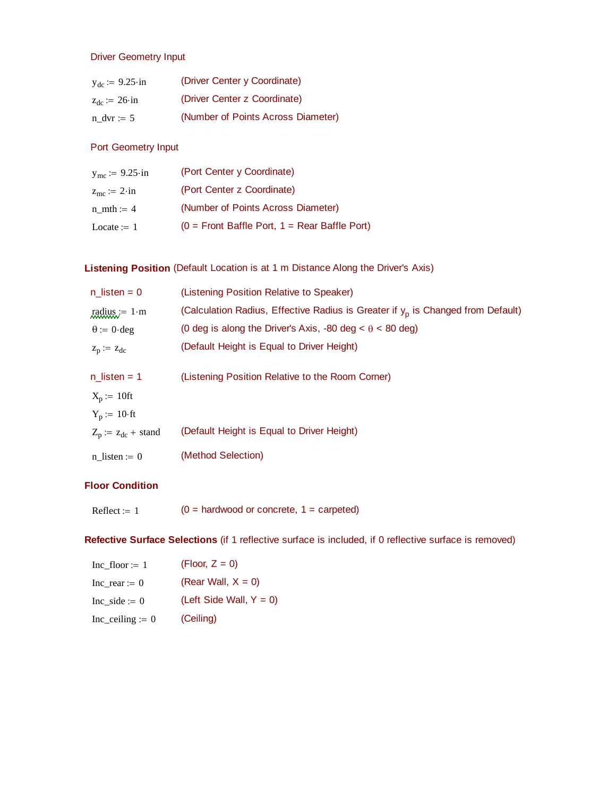#### Driver Geometry Input

| $y_{dc}$ = 9.25 $\cdot$ in | (Driver Center y Coordinate)       |
|----------------------------|------------------------------------|
| $z_{dc}$ = 26 in           | (Driver Center z Coordinate)       |
| $n \text{ dvr} := 5$       | (Number of Points Across Diameter) |

### Port Geometry Input

| $y_{\text{mc}} := 9.25 \cdot \text{in}$ | (Port Center y Coordinate)                        |
|-----------------------------------------|---------------------------------------------------|
| $z_{\rm mc} := 2 \cdot in$              | (Port Center z Coordinate)                        |
| $n \text{ mth} := 4$                    | (Number of Points Across Diameter)                |
| Locate $:= 1$                           | $(0 =$ Front Baffle Port, $1 =$ Rear Baffle Port) |

## **Listening Position** (Default Location is at 1 m Distance Along the Driver's Axis)

| n listen = $0$              | (Listening Position Relative to Speaker)                                             |
|-----------------------------|--------------------------------------------------------------------------------------|
| $\text{radius} = 1 \cdot m$ | (Calculation Radius, Effective Radius is Greater if $y_{p}$ is Changed from Default) |
| $\theta := 0 \cdot deg$     | (0 deg is along the Driver's Axis, -80 deg $\lt \theta \lt 80$ deg)                  |
| $z_p := z_{dc}$             | (Default Height is Equal to Driver Height)                                           |
| $n$ listen = 1              | (Listening Position Relative to the Room Corner)                                     |
| $X_p := 10$ ft              |                                                                                      |
| $Y_p := 10 \cdot ft$        |                                                                                      |
| $Z_p := z_{dc} +$ stand     | (Default Height is Equal to Driver Height)                                           |
| $n$ listen := 0             | (Method Selection)                                                                   |

## **Floor Condition**

| $Reflect := 1$ |  | $(0 = \text{hardwood or concrete}, 1 = \text{carpeted})$ |
|----------------|--|----------------------------------------------------------|
|----------------|--|----------------------------------------------------------|

**Refective Surface Selections** (if 1 reflective surface is included, if 0 reflective surface is removed)

| $Inc_floor := 1$              | (Floor, $Z = 0$ )          |
|-------------------------------|----------------------------|
| Inc rear := $0$               | (Rear Wall, $X = 0$ )      |
| Inc side $= 0$                | (Left Side Wall, $Y = 0$ ) |
| $Inc$ <sub>ceiling</sub> := 0 | (Ceiling)                  |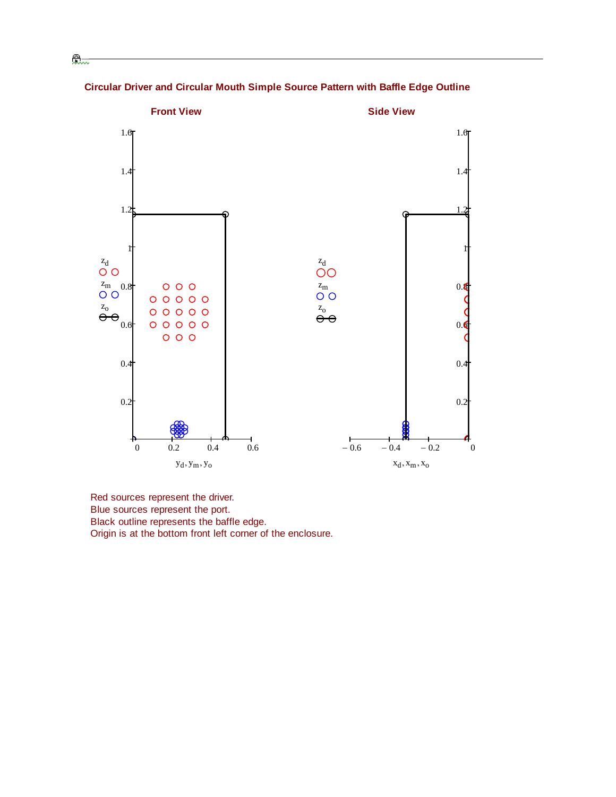

## **Circular Driver and Circular Mouth Simple Source Pattern with Baffle Edge Outline**

总一

Red sources represent the driver. Blue sources represent the port. Black outline represents the baffle edge. Origin is at the bottom front left corner of the enclosure.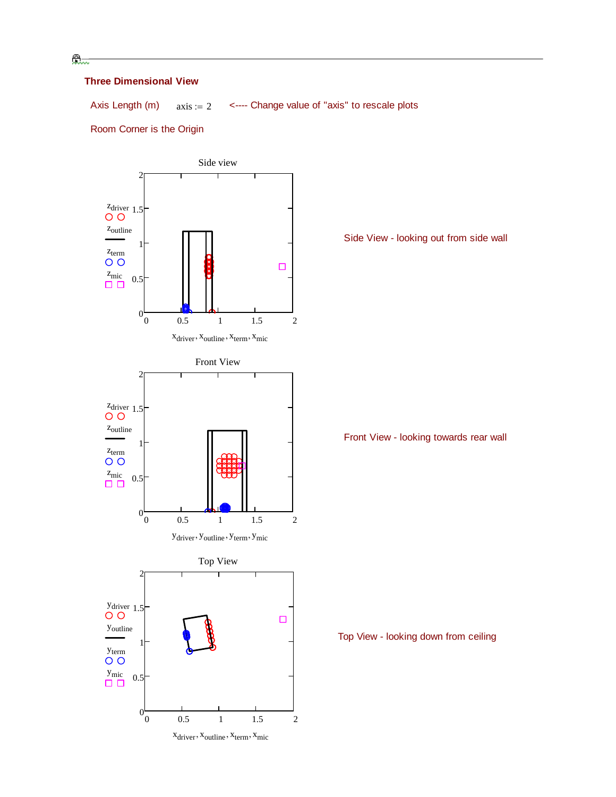## $\mathbb{R}^-$

### **Three Dimensional View**

Axis Length  $(m)$   $axis := 2$  <---- Change value of "axis" to rescale plots

#### Room Corner is the Origin





 $y_{\text{driver}}$ ,  $y_{\text{outline}}$ ,  $y_{\text{term}}$ ,  $y_{\text{mic}}$ 



 $x_{\text{driver}}$ ,  $x_{\text{outline}}$ ,  $x_{\text{term}}$ ,  $x_{\text{mic}}$ 

Side View - looking out from side wall

Front View - looking towards rear wall

Top View - looking down from ceiling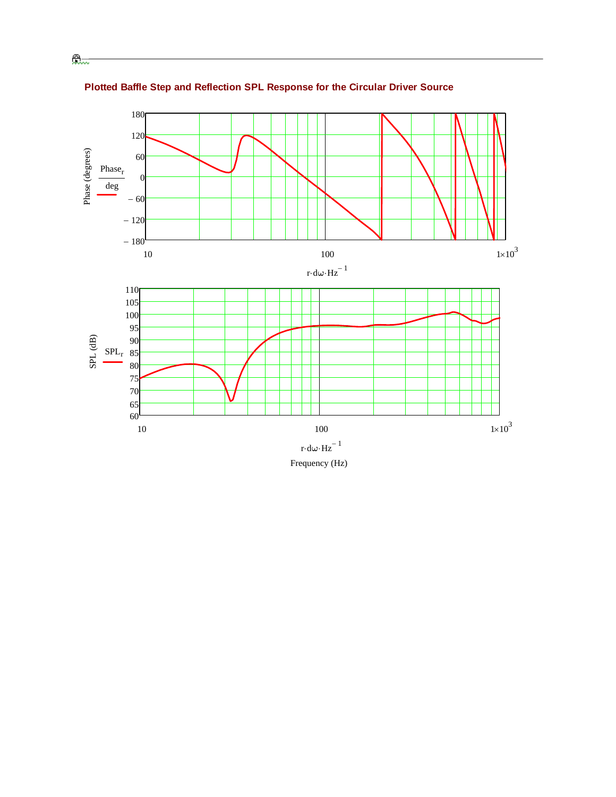

## **Plotted Baffle Step and Reflection SPL Response for the Circular Driver Source**

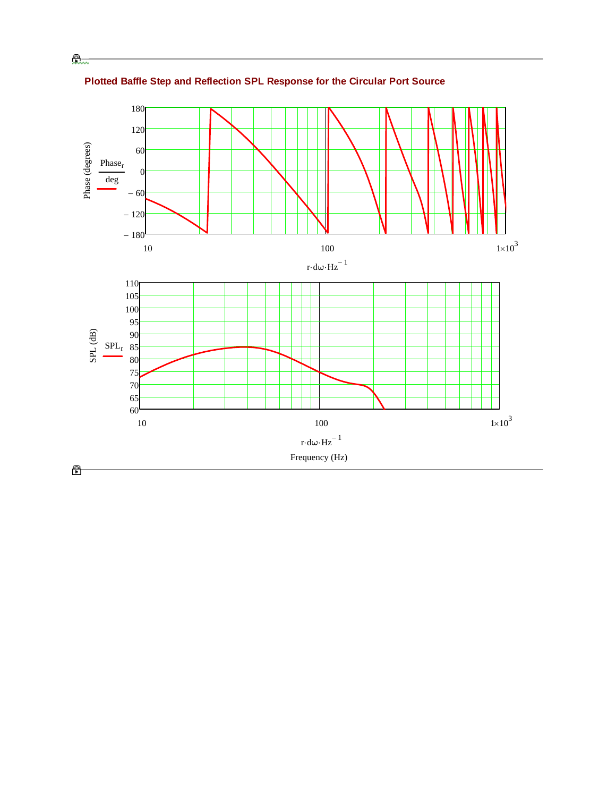

**Plotted Baffle Step and Reflection SPL Response for the Circular Port Source**

 $\frac{\partial \mathbf{Q}}{\partial \mathbf{Q} + \mathbf{Q}}$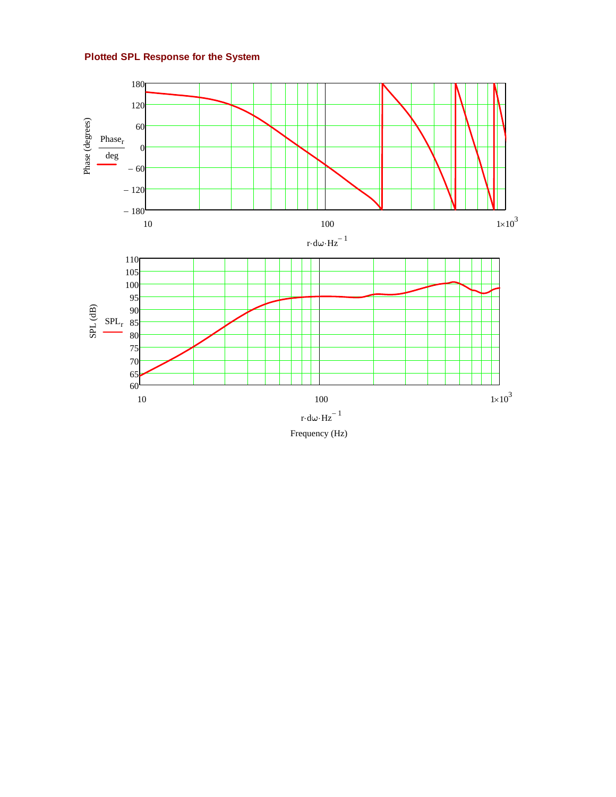## **Plotted SPL Response for the System**

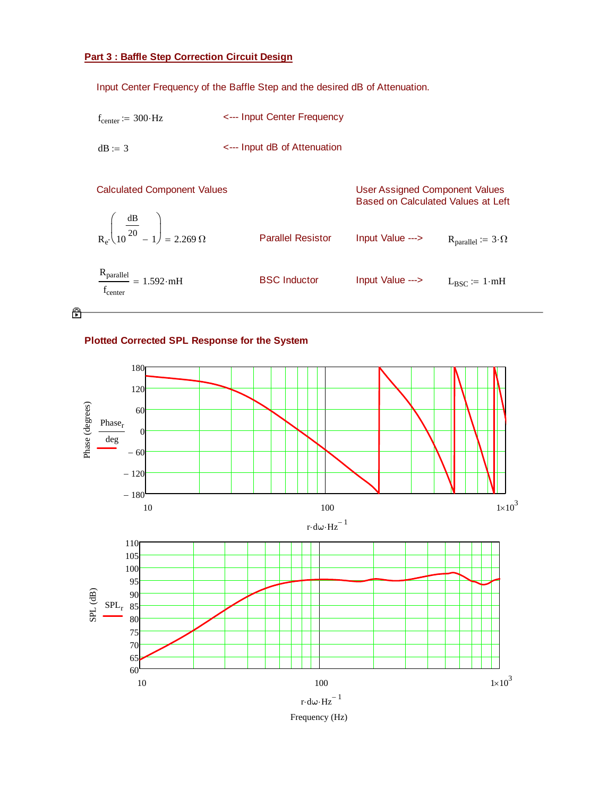#### **Part 3 : Baffle Step Correction Circuit Design**

Input Center Frequency of the Baffle Step and the desired dB of Attenuation.



 $dB := 3$  <--- Input dB of Attenuation



#### **Plotted Corrected SPL Response for the System**